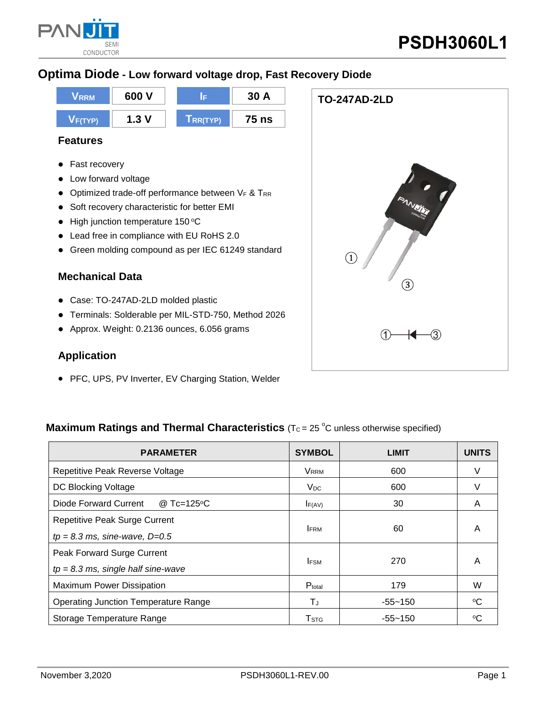

**TO-247AD-2LD**

 $\circled{3}$ 

## **Optima Diode - Low forward voltage drop, Fast Recovery Diode**



#### **Features**

- **•** Fast recovery
- Low forward voltage
- $\bullet$  Optimized trade-off performance between VF & TRR
- Soft recovery characteristic for better EMI
- $\bullet$  High junction temperature 150 °C
- Lead free in compliance with EU RoHS 2.0
- Green molding compound as per IEC 61249 standard

#### **Mechanical Data**

- Case: TO-247AD-2LD molded plastic
- Terminals: Solderable per MIL-STD-750, Method 2026
- Approx. Weight: 0.2136 ounces, 6.056 grams

#### **Application**

• PFC, UPS, PV Inverter, EV Charging Station, Welder

# **Maximum Ratings and Thermal Characteristics** ( $T_c = 25$  °C unless otherwise specified)

| <b>PARAMETER</b>                            | <b>SYMBOL</b>           | <b>LIMIT</b> | <b>UNITS</b> |
|---------------------------------------------|-------------------------|--------------|--------------|
| Repetitive Peak Reverse Voltage             | <b>VRRM</b>             | 600          | V            |
| DC Blocking Voltage                         | $V_{DC}$                | 600          | v            |
| Diode Forward Current<br>@ Tc=125°C         | $I_{F(AV)}$             | 30           | A            |
| <b>Repetitive Peak Surge Current</b>        |                         |              | A            |
| $tp = 8.3$ ms, sine-wave, $D=0.5$           | <b>IFRM</b>             | 60           |              |
| Peak Forward Surge Current                  |                         |              | A            |
| $tp = 8.3$ ms, single half sine-wave        | <b>IFSM</b>             | 270          |              |
| <b>Maximum Power Dissipation</b>            | Ptotal                  | 179          | W            |
| <b>Operating Junction Temperature Range</b> | ТJ                      | -55~150      | °C           |
| Storage Temperature Range                   | <b>T</b> <sub>STG</sub> | $-55 - 150$  | °C           |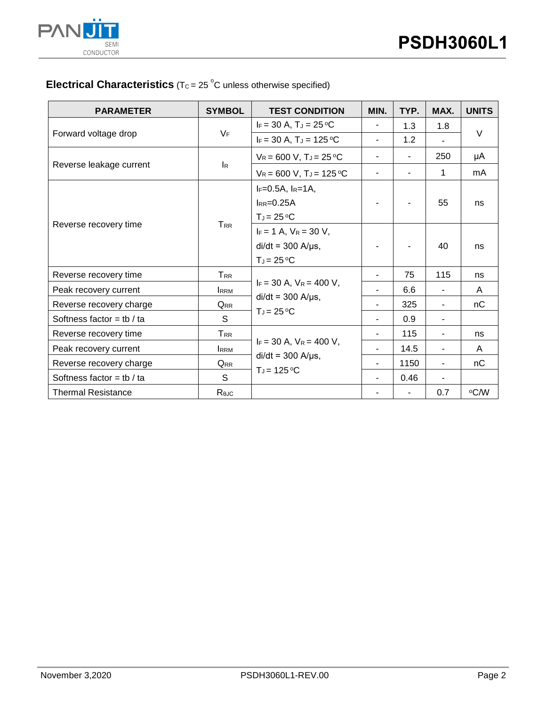

## **Electrical Characteristics** ( $T_c = 25$ °C unless otherwise specified)

| <b>PARAMETER</b>            | <b>SYMBOL</b>             | <b>TEST CONDITION</b>                                                      | MIN.                     | TYP.                     | MAX.           | <b>UNITS</b> |  |
|-----------------------------|---------------------------|----------------------------------------------------------------------------|--------------------------|--------------------------|----------------|--------------|--|
| Forward voltage drop        | $V_F$                     | $I_F = 30 A$ , $T_J = 25 \degree C$                                        | $\overline{\phantom{a}}$ | 1.3                      | 1.8            | $\vee$       |  |
|                             |                           | $I_F = 30 A$ , $T_J = 125 °C$                                              | $\blacksquare$           | 1.2                      |                |              |  |
| Reverse leakage current     | $\mathsf{I}_{\mathsf{R}}$ | $V_R = 600 V$ , $T_J = 25 °C$                                              | $\overline{\phantom{a}}$ | $\overline{\phantom{a}}$ | 250            | μA           |  |
|                             |                           | $V_R = 600 V$ , T <sub>J</sub> = 125 °C                                    | $\blacksquare$           |                          | $\mathbf{1}$   | mA           |  |
| Reverse recovery time       | $T_{RR}$                  | $I_F = 0.5A$ , $I_R = 1A$ ,<br>$I_{RR}=0.25A$<br>$T_J = 25 °C$             |                          |                          | 55             | ns           |  |
|                             |                           | $I_F = 1 A$ , $V_R = 30 V$ ,<br>$di/dt = 300$ A/ $\mu$ s,<br>$T_J = 25 °C$ |                          |                          | 40             | ns           |  |
| Reverse recovery time       | T <sub>RR</sub>           |                                                                            |                          | 75                       | 115            | ns           |  |
| Peak recovery current       | <b>IRRM</b>               | $I_F = 30$ A, $V_R = 400$ V,                                               |                          | 6.6                      |                | A            |  |
| Reverse recovery charge     | <b>QRR</b>                | $di/dt = 300$ A/ $\mu$ s,<br>$T_J = 25 °C$                                 |                          | 325                      |                | nC           |  |
| Softness factor = tb / ta   | S.                        |                                                                            | $\blacksquare$           | 0.9                      | $\blacksquare$ |              |  |
| Reverse recovery time       | $T_{RR}$                  | $I_F = 30$ A, $V_R = 400$ V,<br>$di/dt = 300$ A/ $\mu$ s,                  |                          | 115                      | ٠              | ns           |  |
| Peak recovery current       | <b>IRRM</b>               |                                                                            |                          | 14.5                     |                | A            |  |
| Reverse recovery charge     | <b>QRR</b>                |                                                                            |                          | 1150                     | $\blacksquare$ | nC           |  |
| Softness factor = $tb / ta$ | S                         | $T_J = 125$ °C                                                             |                          | 0.46                     |                |              |  |
| <b>Thermal Resistance</b>   | ReJC                      |                                                                            |                          | -                        | 0.7            | °C/W         |  |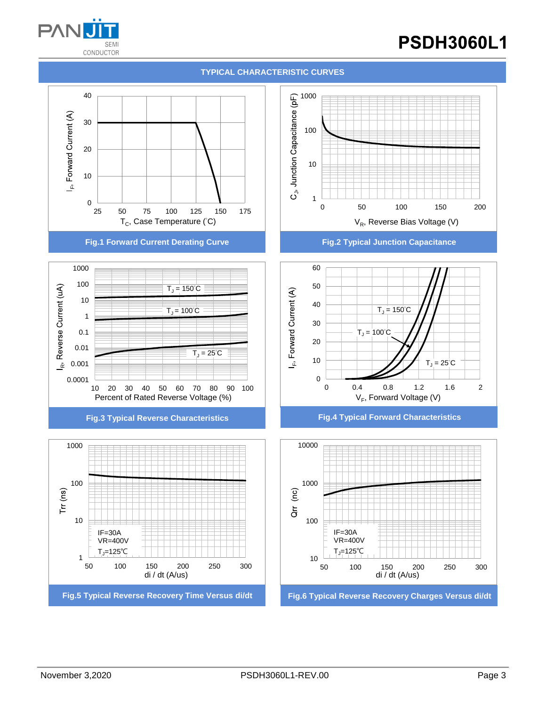

# **PSDH3060L1**





**Fig.1 Forward Current Derating Curve Fig.2 Typical Junction Capacitance**









**Fig.3 Typical Reverse Characteristics Fig.4 Typical Forward Characteristics**

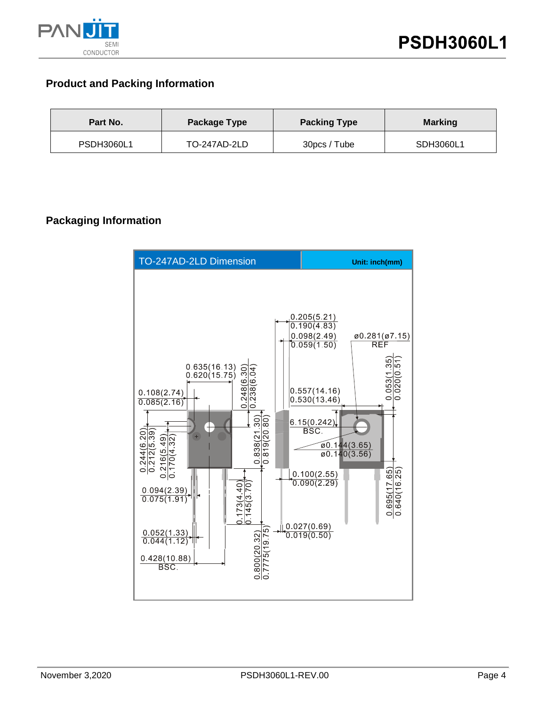

## **Product and Packing Information**

| Part No.          | Package Type | <b>Packing Type</b> | <b>Marking</b> |  |  |
|-------------------|--------------|---------------------|----------------|--|--|
| <b>PSDH3060L1</b> | TO-247AD-2LD | 30pcs / Tube        | SDH3060L1      |  |  |

## **Packaging Information**